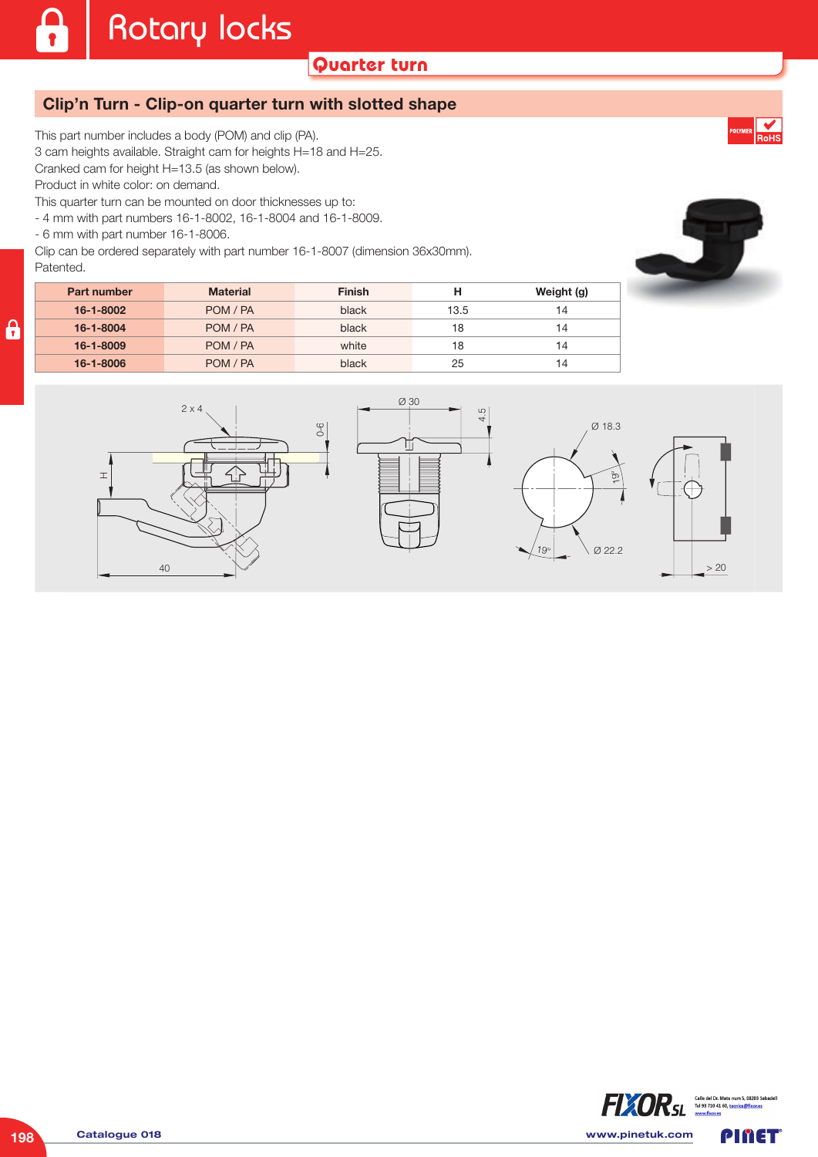## **Clip'n Turn - Clip-on quarter turn with slotted shape**

This part number includes a body (POM) and clip (PA).

3 cam heights available. Straight cam for heights H=18 and H=25.

Cranked cam for height H=13.5 (as shown below).

Product in white color: on demand.

This quarter turn can be mounted on door thicknesses up to:

- 4 mm with part numbers 16-1-8002, 16-1-8004 and 16-1-8009.

- 6 mm with part number 16-1-8006.

Clip can be ordered separately with part number 16-1-8007 (dimension 36x30mm). Patented.

| <b>Part number</b> | <b>Material</b> | <b>Finish</b> | н    | Weight (g) |
|--------------------|-----------------|---------------|------|------------|
| 16-1-8002          | POM / PA        | black         | 13.5 | 14         |
| 16-1-8004          | POM / PA        | black         | 18   | 14         |
| 16-1-8009          | POM / PA        | white         | 18   | 14         |
| 16-1-8006          | POM / PA        | black         | 25   | 14         |







PINET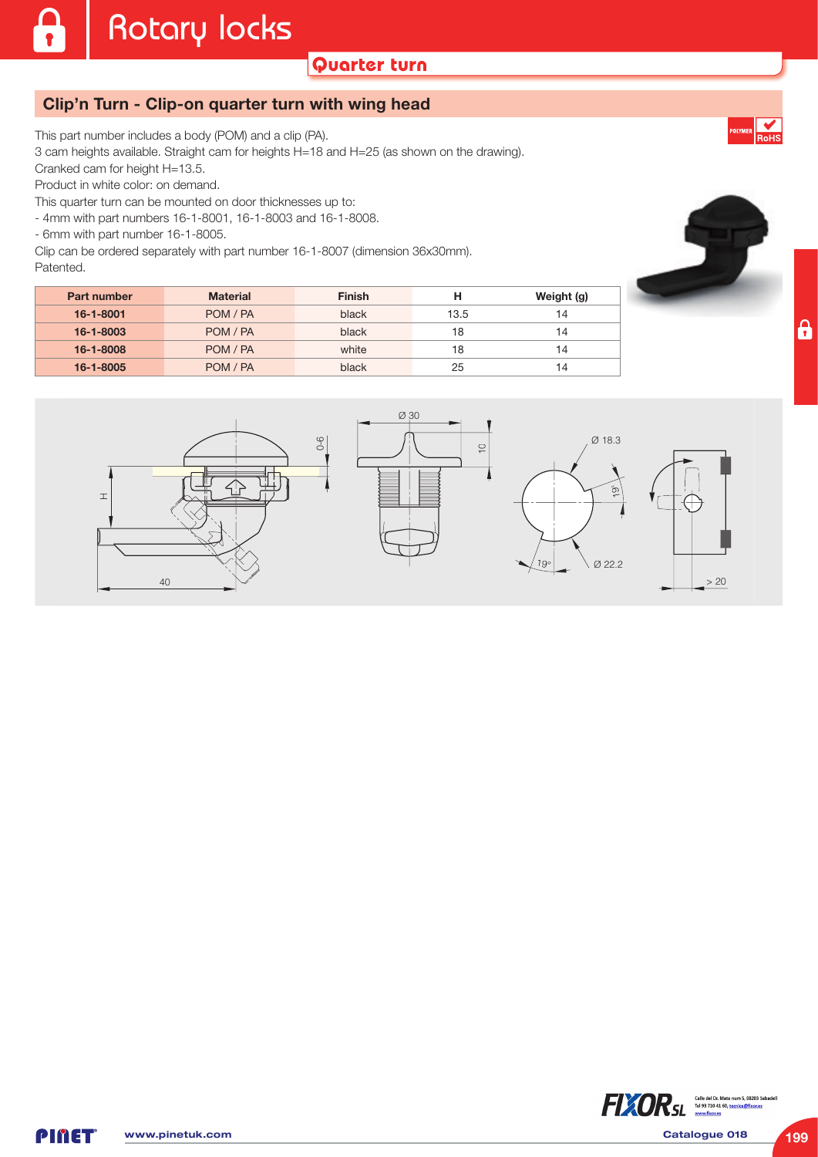## **Clip'n Turn - Clip-on quarter turn with wing head**

This part number includes a body (POM) and a clip (PA).

3 cam heights available. Straight cam for heights H=18 and H=25 (as shown on the drawing).

Cranked cam for height H=13.5.

Product in white color: on demand.

This quarter turn can be mounted on door thicknesses up to:

- 4mm with part numbers 16-1-8001, 16-1-8003 and 16-1-8008.

- 6mm with part number 16-1-8005.

Clip can be ordered separately with part number 16-1-8007 (dimension 36x30mm). Patented.

| <b>Part number</b> | <b>Material</b> | <b>Finish</b> | н    | Weight (g) |
|--------------------|-----------------|---------------|------|------------|
| 16-1-8001          | POM / PA        | black         | 13.5 | 14         |
| 16-1-8003          | POM / PA        | black         | 18   | 14         |
| 16-1-8008          | POM / PA        | white         | 18   | 14         |
| 16-1-8005          | POM / PA        | black         | 25   | 14         |





 $\hat{\mathbf{a}}$ 

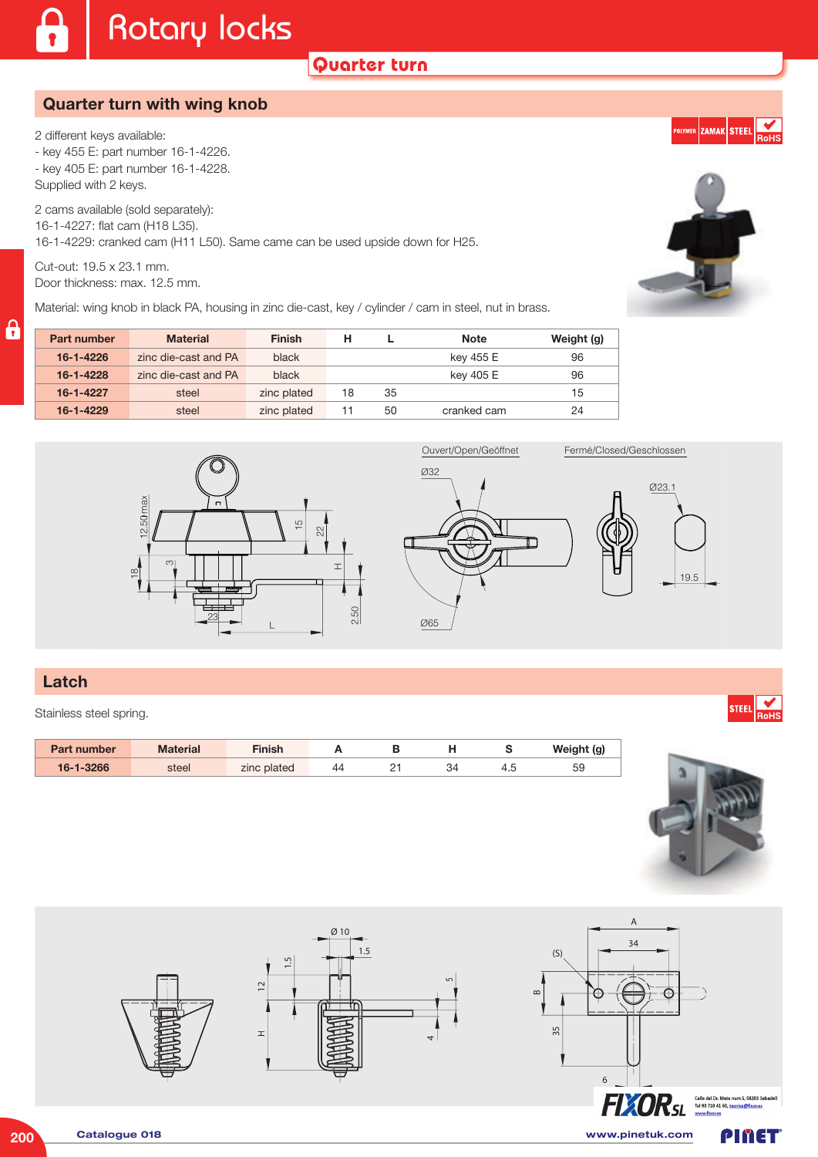#### **Quarter turn with wing knob**

2 different keys available:

- key 455 E: part number 16-1-4226. - key 405 E: part number 16-1-4228. Supplied with 2 keys.

2 cams available (sold separately): 16-1-4227: flat cam (H18 L35). 16-1-4229: cranked cam (H11 L50). Same came can be used upside down for H25.

Cut-out: 19.5 x 23.1 mm. Door thickness: max. 12.5 mm.

 $\mathbf{a}$ 

Material: wing knob in black PA, housing in zinc die-cast, key / cylinder / cam in steel, nut in brass.





YMER ZAMAK STEEL

Ø23.1

Ouvert/Open/Geöffnet Fermé/Closed/Geschlossen

╥

19.5

| Part number     | <b>Material</b>      | <b>Finish</b> | н  |    | <b>Note</b> | Weight (g) |
|-----------------|----------------------|---------------|----|----|-------------|------------|
| 16-1-4226       | zinc die-cast and PA | black         |    |    | key 455 E   | 96         |
| $16 - 1 - 4228$ | zinc die-cast and PA | black         |    |    | key 405 E   | 96         |
| 16-1-4227       | steel                | zinc plated   | 18 | 35 |             | 15         |
| $16 - 1 - 4229$ | steel                | zinc plated   | 11 | 50 | cranked cam | 24         |



#### **Latch**

Stainless steel spring.

| <b>Part number</b> | Material | <b>Finish</b> |    |          |     | Weight (g) |
|--------------------|----------|---------------|----|----------|-----|------------|
| 16-1-3266          | steel    | zinc plated   | 44 | <u>_</u> | 2 Л | 59         |



STEEL BOH!



Ø32

Ø65